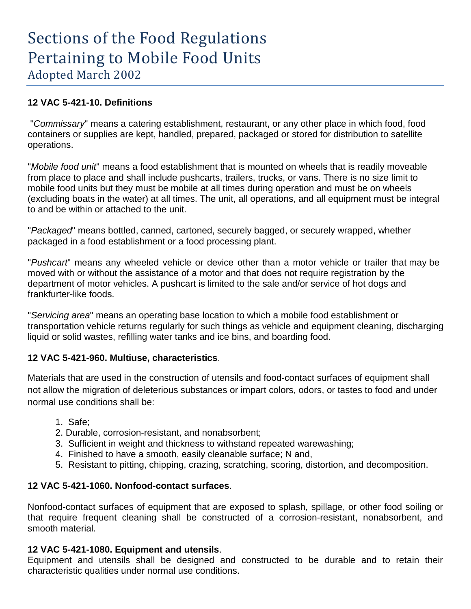# **12 VAC 5-421-10. Definitions**

"*Commissary*" means a catering establishment, restaurant, or any other place in which food, food containers or supplies are kept, handled, prepared, packaged or stored for distribution to satellite operations.

"*Mobile food unit*" means a food establishment that is mounted on wheels that is readily moveable from place to place and shall include pushcarts, trailers, trucks, or vans. There is no size limit to mobile food units but they must be mobile at all times during operation and must be on wheels (excluding boats in the water) at all times. The unit, all operations, and all equipment must be integral to and be within or attached to the unit.

"*Packaged*" means bottled, canned, cartoned, securely bagged, or securely wrapped, whether packaged in a food establishment or a food processing plant.

"*Pushcart*" means any wheeled vehicle or device other than a motor vehicle or trailer that may be moved with or without the assistance of a motor and that does not require registration by the department of motor vehicles. A pushcart is limited to the sale and/or service of hot dogs and frankfurter-like foods.

"*Servicing area*" means an operating base location to which a mobile food establishment or transportation vehicle returns regularly for such things as vehicle and equipment cleaning, discharging liquid or solid wastes, refilling water tanks and ice bins, and boarding food.

# **12 VAC 5-421-960. Multiuse, characteristics**.

Materials that are used in the construction of utensils and food-contact surfaces of equipment shall not allow the migration of deleterious substances or impart colors, odors, or tastes to food and under normal use conditions shall be:

- 1. Safe;
- 2. Durable, corrosion-resistant, and nonabsorbent;
- 3. Sufficient in weight and thickness to withstand repeated warewashing;
- 4. Finished to have a smooth, easily cleanable surface; N and,
- 5. Resistant to pitting, chipping, crazing, scratching, scoring, distortion, and decomposition.

# **12 VAC 5-421-1060. Nonfood-contact surfaces**.

Nonfood-contact surfaces of equipment that are exposed to splash, spillage, or other food soiling or that require frequent cleaning shall be constructed of a corrosion-resistant, nonabsorbent, and smooth material.

# **12 VAC 5-421-1080. Equipment and utensils**.

Equipment and utensils shall be designed and constructed to be durable and to retain their characteristic qualities under normal use conditions.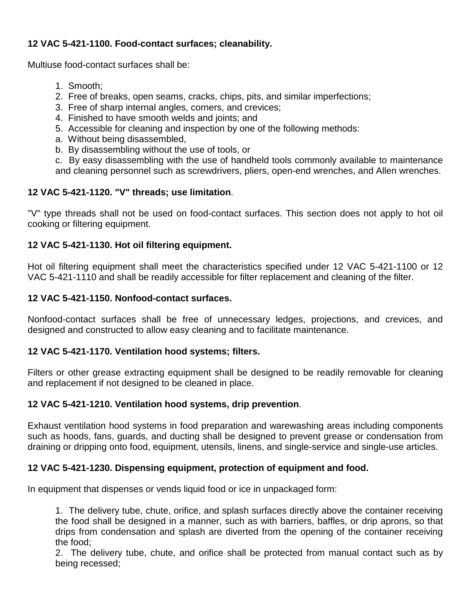# **12 VAC 5-421-1100. Food-contact surfaces; cleanability.**

Multiuse food-contact surfaces shall be:

- 1. Smooth;
- 2. Free of breaks, open seams, cracks, chips, pits, and similar imperfections;
- 3. Free of sharp internal angles, corners, and crevices;
- 4. Finished to have smooth welds and joints; and
- 5. Accessible for cleaning and inspection by one of the following methods:
- a. Without being disassembled,
- b. By disassembling without the use of tools, or

c. By easy disassembling with the use of handheld tools commonly available to maintenance and cleaning personnel such as screwdrivers, pliers, open-end wrenches, and Allen wrenches.

# **12 VAC 5-421-1120. "V" threads; use limitation**.

"V" type threads shall not be used on food-contact surfaces. This section does not apply to hot oil cooking or filtering equipment.

# **12 VAC 5-421-1130. Hot oil filtering equipment.**

Hot oil filtering equipment shall meet the characteristics specified under 12 VAC 5-421-1100 or 12 VAC 5-421-1110 and shall be readily accessible for filter replacement and cleaning of the filter.

# **12 VAC 5-421-1150. Nonfood-contact surfaces.**

Nonfood-contact surfaces shall be free of unnecessary ledges, projections, and crevices, and designed and constructed to allow easy cleaning and to facilitate maintenance.

# **12 VAC 5-421-1170. Ventilation hood systems; filters.**

Filters or other grease extracting equipment shall be designed to be readily removable for cleaning and replacement if not designed to be cleaned in place.

# **12 VAC 5-421-1210. Ventilation hood systems, drip prevention**.

Exhaust ventilation hood systems in food preparation and warewashing areas including components such as hoods, fans, guards, and ducting shall be designed to prevent grease or condensation from draining or dripping onto food, equipment, utensils, linens, and single-service and single-use articles.

# **12 VAC 5-421-1230. Dispensing equipment, protection of equipment and food.**

In equipment that dispenses or vends liquid food or ice in unpackaged form:

1. The delivery tube, chute, orifice, and splash surfaces directly above the container receiving the food shall be designed in a manner, such as with barriers, baffles, or drip aprons, so that drips from condensation and splash are diverted from the opening of the container receiving the food;

2. The delivery tube, chute, and orifice shall be protected from manual contact such as by being recessed;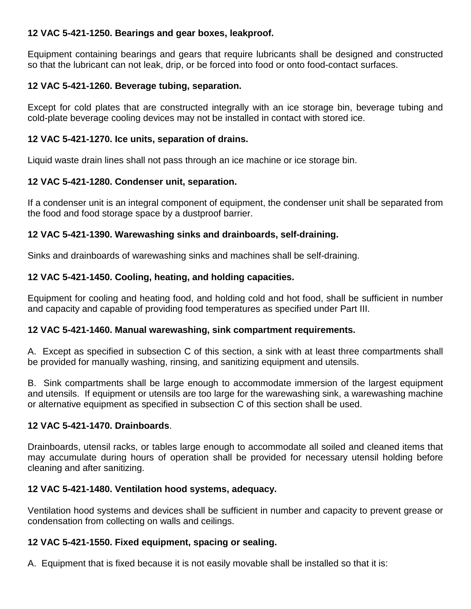# **12 VAC 5-421-1250. Bearings and gear boxes, leakproof.**

Equipment containing bearings and gears that require lubricants shall be designed and constructed so that the lubricant can not leak, drip, or be forced into food or onto food-contact surfaces.

# **12 VAC 5-421-1260. Beverage tubing, separation.**

Except for cold plates that are constructed integrally with an ice storage bin, beverage tubing and cold-plate beverage cooling devices may not be installed in contact with stored ice.

# **12 VAC 5-421-1270. Ice units, separation of drains.**

Liquid waste drain lines shall not pass through an ice machine or ice storage bin.

# **12 VAC 5-421-1280. Condenser unit, separation.**

If a condenser unit is an integral component of equipment, the condenser unit shall be separated from the food and food storage space by a dustproof barrier.

# **12 VAC 5-421-1390. Warewashing sinks and drainboards, self-draining.**

Sinks and drainboards of warewashing sinks and machines shall be self-draining.

# **12 VAC 5-421-1450. Cooling, heating, and holding capacities.**

Equipment for cooling and heating food, and holding cold and hot food, shall be sufficient in number and capacity and capable of providing food temperatures as specified under Part III.

# **12 VAC 5-421-1460. Manual warewashing, sink compartment requirements.**

A. Except as specified in subsection C of this section, a sink with at least three compartments shall be provided for manually washing, rinsing, and sanitizing equipment and utensils.

B. Sink compartments shall be large enough to accommodate immersion of the largest equipment and utensils. If equipment or utensils are too large for the warewashing sink, a warewashing machine or alternative equipment as specified in subsection C of this section shall be used.

# **12 VAC 5-421-1470. Drainboards**.

Drainboards, utensil racks, or tables large enough to accommodate all soiled and cleaned items that may accumulate during hours of operation shall be provided for necessary utensil holding before cleaning and after sanitizing.

# **12 VAC 5-421-1480. Ventilation hood systems, adequacy.**

Ventilation hood systems and devices shall be sufficient in number and capacity to prevent grease or condensation from collecting on walls and ceilings.

# **12 VAC 5-421-1550. Fixed equipment, spacing or sealing.**

A. Equipment that is fixed because it is not easily movable shall be installed so that it is: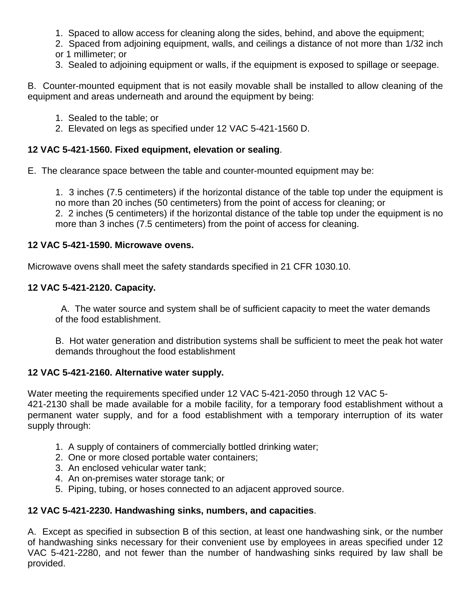- 1. Spaced to allow access for cleaning along the sides, behind, and above the equipment;
- 2. Spaced from adjoining equipment, walls, and ceilings a distance of not more than 1/32 inch or 1 millimeter; or
- 3. Sealed to adjoining equipment or walls, if the equipment is exposed to spillage or seepage.

B. Counter-mounted equipment that is not easily movable shall be installed to allow cleaning of the equipment and areas underneath and around the equipment by being:

- 1. Sealed to the table; or
- 2. Elevated on legs as specified under 12 VAC 5-421-1560 D.

#### **12 VAC 5-421-1560. Fixed equipment, elevation or sealing**.

E. The clearance space between the table and counter-mounted equipment may be:

1. 3 inches (7.5 centimeters) if the horizontal distance of the table top under the equipment is no more than 20 inches (50 centimeters) from the point of access for cleaning; or 2. 2 inches (5 centimeters) if the horizontal distance of the table top under the equipment is no more than 3 inches (7.5 centimeters) from the point of access for cleaning.

#### **12 VAC 5-421-1590. Microwave ovens.**

Microwave ovens shall meet the safety standards specified in 21 CFR 1030.10.

#### **12 VAC 5-421-2120. Capacity.**

A. The water source and system shall be of sufficient capacity to meet the water demands of the food establishment.

B. Hot water generation and distribution systems shall be sufficient to meet the peak hot water demands throughout the food establishment

#### **12 VAC 5-421-2160. Alternative water supply.**

Water meeting the requirements specified under 12 VAC 5-421-2050 through 12 VAC 5-

421-2130 shall be made available for a mobile facility, for a temporary food establishment without a permanent water supply, and for a food establishment with a temporary interruption of its water supply through:

- 1. A supply of containers of commercially bottled drinking water;
- 2. One or more closed portable water containers;
- 3. An enclosed vehicular water tank;
- 4. An on-premises water storage tank; or
- 5. Piping, tubing, or hoses connected to an adjacent approved source.

#### **12 VAC 5-421-2230. Handwashing sinks, numbers, and capacities**.

A. Except as specified in subsection B of this section, at least one handwashing sink, or the number of handwashing sinks necessary for their convenient use by employees in areas specified under 12 VAC 5-421-2280, and not fewer than the number of handwashing sinks required by law shall be provided.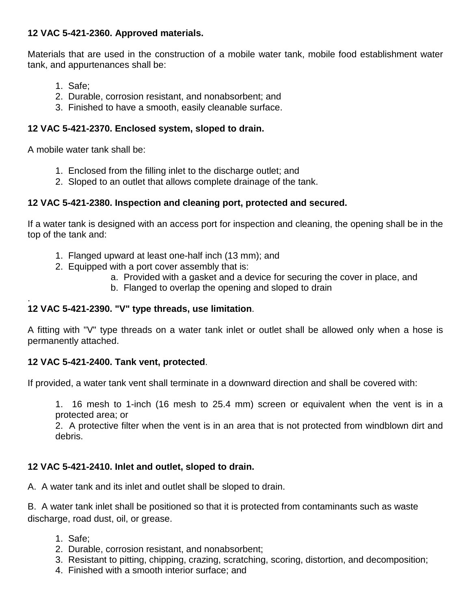# **12 VAC 5-421-2360. Approved materials.**

Materials that are used in the construction of a mobile water tank, mobile food establishment water tank, and appurtenances shall be:

- 1. Safe;
- 2. Durable, corrosion resistant, and nonabsorbent; and
- 3. Finished to have a smooth, easily cleanable surface.

# **12 VAC 5-421-2370. Enclosed system, sloped to drain.**

A mobile water tank shall be:

- 1. Enclosed from the filling inlet to the discharge outlet; and
- 2. Sloped to an outlet that allows complete drainage of the tank.

# **12 VAC 5-421-2380. Inspection and cleaning port, protected and secured.**

If a water tank is designed with an access port for inspection and cleaning, the opening shall be in the top of the tank and:

- 1. Flanged upward at least one-half inch (13 mm); and
- 2. Equipped with a port cover assembly that is:
	- a. Provided with a gasket and a device for securing the cover in place, and
	- b. Flanged to overlap the opening and sloped to drain

#### . **12 VAC 5-421-2390. "V" type threads, use limitation**.

A fitting with "V" type threads on a water tank inlet or outlet shall be allowed only when a hose is permanently attached.

# **12 VAC 5-421-2400. Tank vent, protected**.

If provided, a water tank vent shall terminate in a downward direction and shall be covered with:

1. 16 mesh to 1-inch (16 mesh to 25.4 mm) screen or equivalent when the vent is in a protected area; or

2. A protective filter when the vent is in an area that is not protected from windblown dirt and debris.

# **12 VAC 5-421-2410. Inlet and outlet, sloped to drain.**

A. A water tank and its inlet and outlet shall be sloped to drain.

B. A water tank inlet shall be positioned so that it is protected from contaminants such as waste discharge, road dust, oil, or grease.

- 1. Safe;
- 2. Durable, corrosion resistant, and nonabsorbent;
- 3. Resistant to pitting, chipping, crazing, scratching, scoring, distortion, and decomposition;
- 4. Finished with a smooth interior surface; and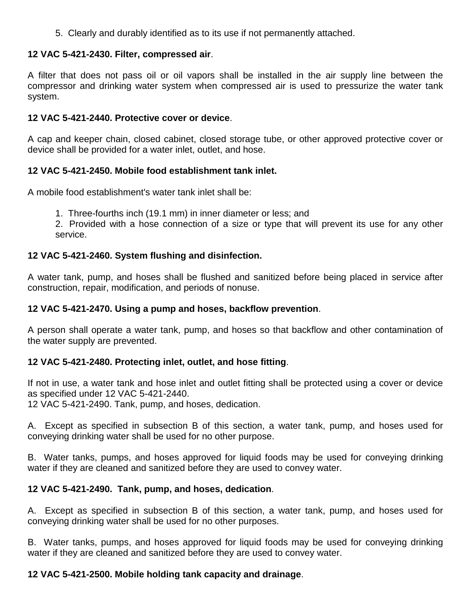5. Clearly and durably identified as to its use if not permanently attached.

### **12 VAC 5-421-2430. Filter, compressed air**.

A filter that does not pass oil or oil vapors shall be installed in the air supply line between the compressor and drinking water system when compressed air is used to pressurize the water tank system.

#### **12 VAC 5-421-2440. Protective cover or device**.

A cap and keeper chain, closed cabinet, closed storage tube, or other approved protective cover or device shall be provided for a water inlet, outlet, and hose.

### **12 VAC 5-421-2450. Mobile food establishment tank inlet.**

A mobile food establishment's water tank inlet shall be:

1. Three-fourths inch (19.1 mm) in inner diameter or less; and

2. Provided with a hose connection of a size or type that will prevent its use for any other service.

# **12 VAC 5-421-2460. System flushing and disinfection.**

A water tank, pump, and hoses shall be flushed and sanitized before being placed in service after construction, repair, modification, and periods of nonuse.

### **12 VAC 5-421-2470. Using a pump and hoses, backflow prevention**.

A person shall operate a water tank, pump, and hoses so that backflow and other contamination of the water supply are prevented.

# **12 VAC 5-421-2480. Protecting inlet, outlet, and hose fitting**.

If not in use, a water tank and hose inlet and outlet fitting shall be protected using a cover or device as specified under 12 VAC 5-421-2440.

12 VAC 5-421-2490. Tank, pump, and hoses, dedication.

A. Except as specified in subsection B of this section, a water tank, pump, and hoses used for conveying drinking water shall be used for no other purpose.

B. Water tanks, pumps, and hoses approved for liquid foods may be used for conveying drinking water if they are cleaned and sanitized before they are used to convey water.

# **12 VAC 5-421-2490. Tank, pump, and hoses, dedication**.

A. Except as specified in subsection B of this section, a water tank, pump, and hoses used for conveying drinking water shall be used for no other purposes.

B. Water tanks, pumps, and hoses approved for liquid foods may be used for conveying drinking water if they are cleaned and sanitized before they are used to convey water.

# **12 VAC 5-421-2500. Mobile holding tank capacity and drainage**.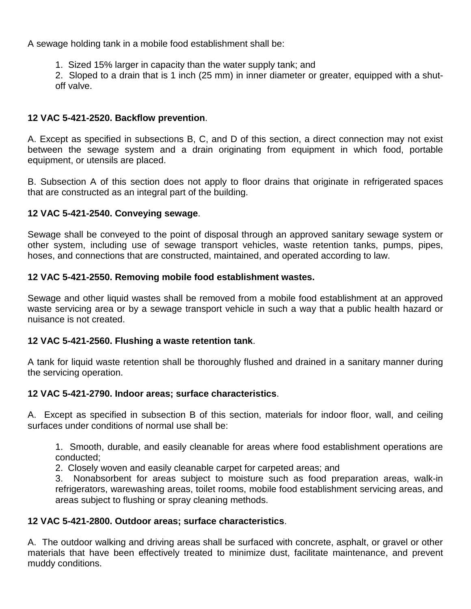A sewage holding tank in a mobile food establishment shall be:

1. Sized 15% larger in capacity than the water supply tank; and

2. Sloped to a drain that is 1 inch (25 mm) in inner diameter or greater, equipped with a shutoff valve.

### **12 VAC 5-421-2520. Backflow prevention**.

A. Except as specified in subsections B, C, and D of this section, a direct connection may not exist between the sewage system and a drain originating from equipment in which food, portable equipment, or utensils are placed.

B. Subsection A of this section does not apply to floor drains that originate in refrigerated spaces that are constructed as an integral part of the building.

### **12 VAC 5-421-2540. Conveying sewage**.

Sewage shall be conveyed to the point of disposal through an approved sanitary sewage system or other system, including use of sewage transport vehicles, waste retention tanks, pumps, pipes, hoses, and connections that are constructed, maintained, and operated according to law.

### **12 VAC 5-421-2550. Removing mobile food establishment wastes.**

Sewage and other liquid wastes shall be removed from a mobile food establishment at an approved waste servicing area or by a sewage transport vehicle in such a way that a public health hazard or nuisance is not created.

#### **12 VAC 5-421-2560. Flushing a waste retention tank**.

A tank for liquid waste retention shall be thoroughly flushed and drained in a sanitary manner during the servicing operation.

#### **12 VAC 5-421-2790. Indoor areas; surface characteristics**.

A. Except as specified in subsection B of this section, materials for indoor floor, wall, and ceiling surfaces under conditions of normal use shall be:

1. Smooth, durable, and easily cleanable for areas where food establishment operations are conducted;

2. Closely woven and easily cleanable carpet for carpeted areas; and

3. Nonabsorbent for areas subject to moisture such as food preparation areas, walk-in refrigerators, warewashing areas, toilet rooms, mobile food establishment servicing areas, and areas subject to flushing or spray cleaning methods.

#### **12 VAC 5-421-2800. Outdoor areas; surface characteristics**.

A. The outdoor walking and driving areas shall be surfaced with concrete, asphalt, or gravel or other materials that have been effectively treated to minimize dust, facilitate maintenance, and prevent muddy conditions.